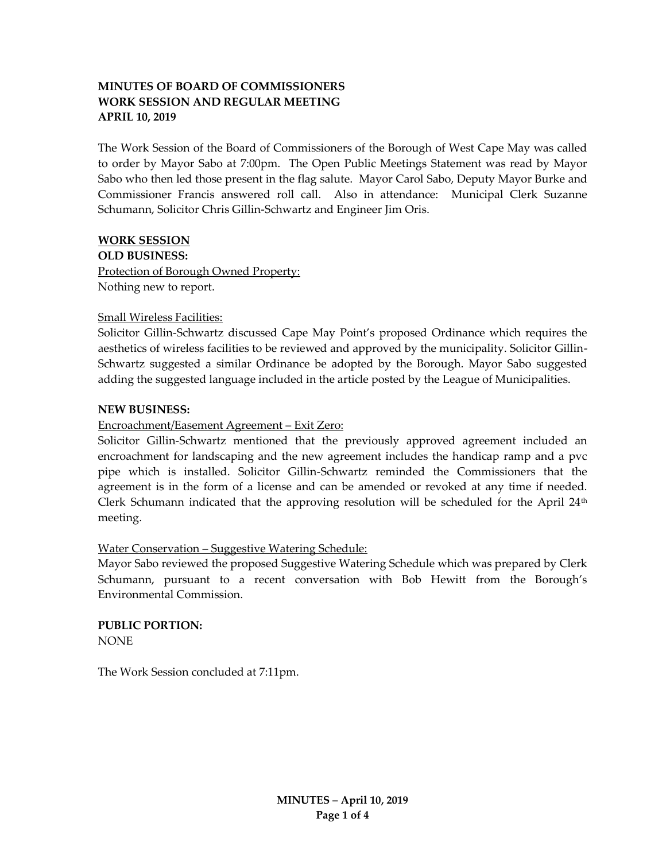# **MINUTES OF BOARD OF COMMISSIONERS WORK SESSION AND REGULAR MEETING APRIL 10, 2019**

The Work Session of the Board of Commissioners of the Borough of West Cape May was called to order by Mayor Sabo at 7:00pm. The Open Public Meetings Statement was read by Mayor Sabo who then led those present in the flag salute. Mayor Carol Sabo, Deputy Mayor Burke and Commissioner Francis answered roll call. Also in attendance: Municipal Clerk Suzanne Schumann, Solicitor Chris Gillin-Schwartz and Engineer Jim Oris.

#### **WORK SESSION**

**OLD BUSINESS:**

Protection of Borough Owned Property: Nothing new to report.

## Small Wireless Facilities:

Solicitor Gillin-Schwartz discussed Cape May Point's proposed Ordinance which requires the aesthetics of wireless facilities to be reviewed and approved by the municipality. Solicitor Gillin-Schwartz suggested a similar Ordinance be adopted by the Borough. Mayor Sabo suggested adding the suggested language included in the article posted by the League of Municipalities.

## **NEW BUSINESS:**

## Encroachment/Easement Agreement – Exit Zero:

Solicitor Gillin-Schwartz mentioned that the previously approved agreement included an encroachment for landscaping and the new agreement includes the handicap ramp and a pvc pipe which is installed. Solicitor Gillin-Schwartz reminded the Commissioners that the agreement is in the form of a license and can be amended or revoked at any time if needed. Clerk Schumann indicated that the approving resolution will be scheduled for the April  $24<sup>th</sup>$ meeting.

## Water Conservation – Suggestive Watering Schedule:

Mayor Sabo reviewed the proposed Suggestive Watering Schedule which was prepared by Clerk Schumann, pursuant to a recent conversation with Bob Hewitt from the Borough's Environmental Commission.

**PUBLIC PORTION:** NONE

The Work Session concluded at 7:11pm.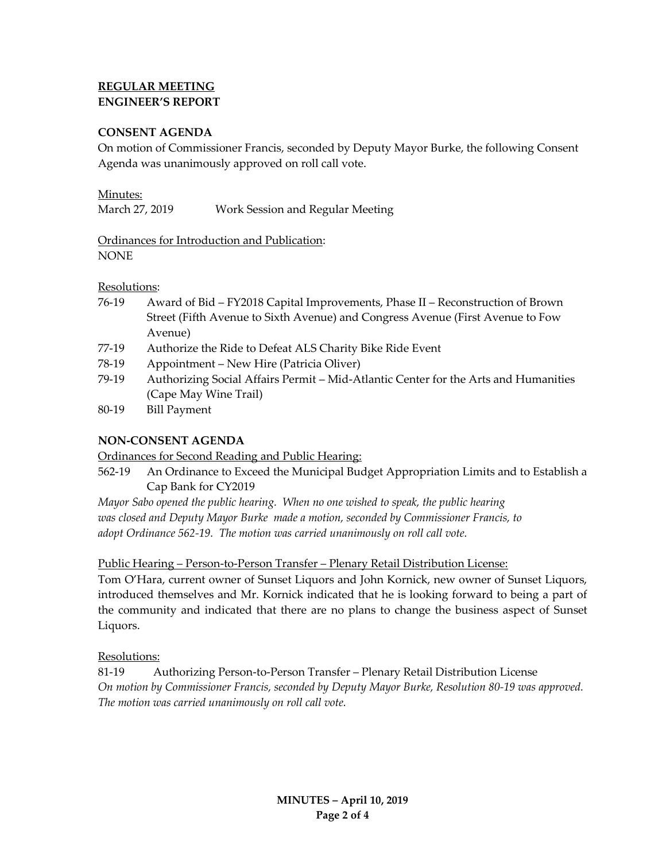# **REGULAR MEETING ENGINEER'S REPORT**

## **CONSENT AGENDA**

On motion of Commissioner Francis, seconded by Deputy Mayor Burke, the following Consent Agenda was unanimously approved on roll call vote.

#### Minutes:

Ordinances for Introduction and Publication: NONE

#### Resolutions:

- 76-19 Award of Bid FY2018 Capital Improvements, Phase II Reconstruction of Brown Street (Fifth Avenue to Sixth Avenue) and Congress Avenue (First Avenue to Fow Avenue)
- 77-19 Authorize the Ride to Defeat ALS Charity Bike Ride Event
- 78-19 Appointment New Hire (Patricia Oliver)
- 79-19 Authorizing Social Affairs Permit Mid-Atlantic Center for the Arts and Humanities (Cape May Wine Trail)
- 80-19 Bill Payment

## **NON-CONSENT AGENDA**

Ordinances for Second Reading and Public Hearing:

562-19 An Ordinance to Exceed the Municipal Budget Appropriation Limits and to Establish a Cap Bank for CY2019

*Mayor Sabo opened the public hearing. When no one wished to speak, the public hearing was closed and Deputy Mayor Burke made a motion, seconded by Commissioner Francis, to adopt Ordinance 562-19. The motion was carried unanimously on roll call vote.*

Public Hearing – Person-to-Person Transfer – Plenary Retail Distribution License:

Tom O'Hara, current owner of Sunset Liquors and John Kornick, new owner of Sunset Liquors, introduced themselves and Mr. Kornick indicated that he is looking forward to being a part of the community and indicated that there are no plans to change the business aspect of Sunset Liquors.

## Resolutions:

81-19 Authorizing Person-to-Person Transfer – Plenary Retail Distribution License *On motion by Commissioner Francis, seconded by Deputy Mayor Burke, Resolution 80-19 was approved. The motion was carried unanimously on roll call vote.*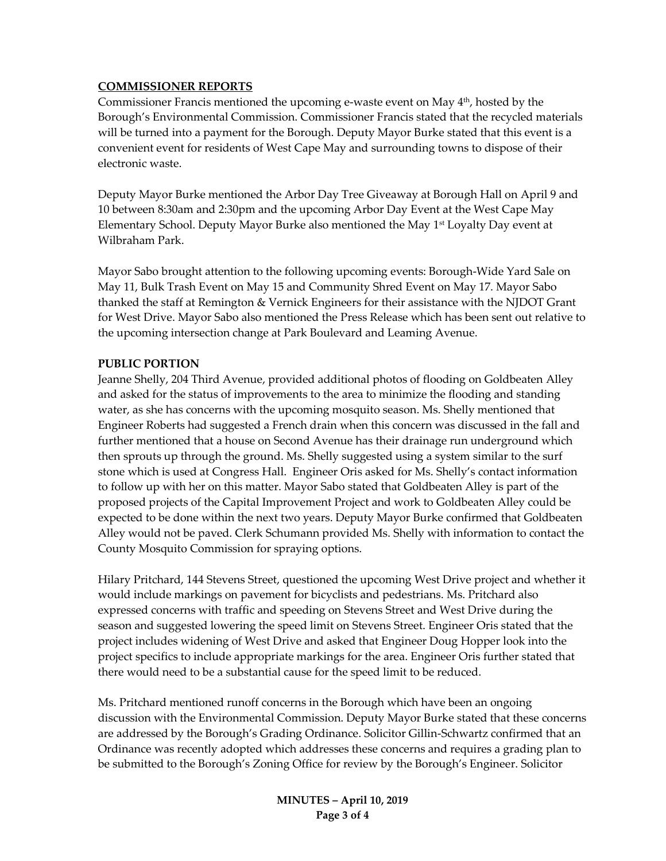## **COMMISSIONER REPORTS**

Commissioner Francis mentioned the upcoming e-waste event on May  $4<sup>th</sup>$ , hosted by the Borough's Environmental Commission. Commissioner Francis stated that the recycled materials will be turned into a payment for the Borough. Deputy Mayor Burke stated that this event is a convenient event for residents of West Cape May and surrounding towns to dispose of their electronic waste.

Deputy Mayor Burke mentioned the Arbor Day Tree Giveaway at Borough Hall on April 9 and 10 between 8:30am and 2:30pm and the upcoming Arbor Day Event at the West Cape May Elementary School. Deputy Mayor Burke also mentioned the May  $1<sup>st</sup>$  Loyalty Day event at Wilbraham Park.

Mayor Sabo brought attention to the following upcoming events: Borough-Wide Yard Sale on May 11, Bulk Trash Event on May 15 and Community Shred Event on May 17. Mayor Sabo thanked the staff at Remington & Vernick Engineers for their assistance with the NJDOT Grant for West Drive. Mayor Sabo also mentioned the Press Release which has been sent out relative to the upcoming intersection change at Park Boulevard and Leaming Avenue.

#### **PUBLIC PORTION**

Jeanne Shelly, 204 Third Avenue, provided additional photos of flooding on Goldbeaten Alley and asked for the status of improvements to the area to minimize the flooding and standing water, as she has concerns with the upcoming mosquito season. Ms. Shelly mentioned that Engineer Roberts had suggested a French drain when this concern was discussed in the fall and further mentioned that a house on Second Avenue has their drainage run underground which then sprouts up through the ground. Ms. Shelly suggested using a system similar to the surf stone which is used at Congress Hall. Engineer Oris asked for Ms. Shelly's contact information to follow up with her on this matter. Mayor Sabo stated that Goldbeaten Alley is part of the proposed projects of the Capital Improvement Project and work to Goldbeaten Alley could be expected to be done within the next two years. Deputy Mayor Burke confirmed that Goldbeaten Alley would not be paved. Clerk Schumann provided Ms. Shelly with information to contact the County Mosquito Commission for spraying options.

Hilary Pritchard, 144 Stevens Street, questioned the upcoming West Drive project and whether it would include markings on pavement for bicyclists and pedestrians. Ms. Pritchard also expressed concerns with traffic and speeding on Stevens Street and West Drive during the season and suggested lowering the speed limit on Stevens Street. Engineer Oris stated that the project includes widening of West Drive and asked that Engineer Doug Hopper look into the project specifics to include appropriate markings for the area. Engineer Oris further stated that there would need to be a substantial cause for the speed limit to be reduced.

Ms. Pritchard mentioned runoff concerns in the Borough which have been an ongoing discussion with the Environmental Commission. Deputy Mayor Burke stated that these concerns are addressed by the Borough's Grading Ordinance. Solicitor Gillin-Schwartz confirmed that an Ordinance was recently adopted which addresses these concerns and requires a grading plan to be submitted to the Borough's Zoning Office for review by the Borough's Engineer. Solicitor

> **MINUTES – April 10, 2019 Page 3 of 4**